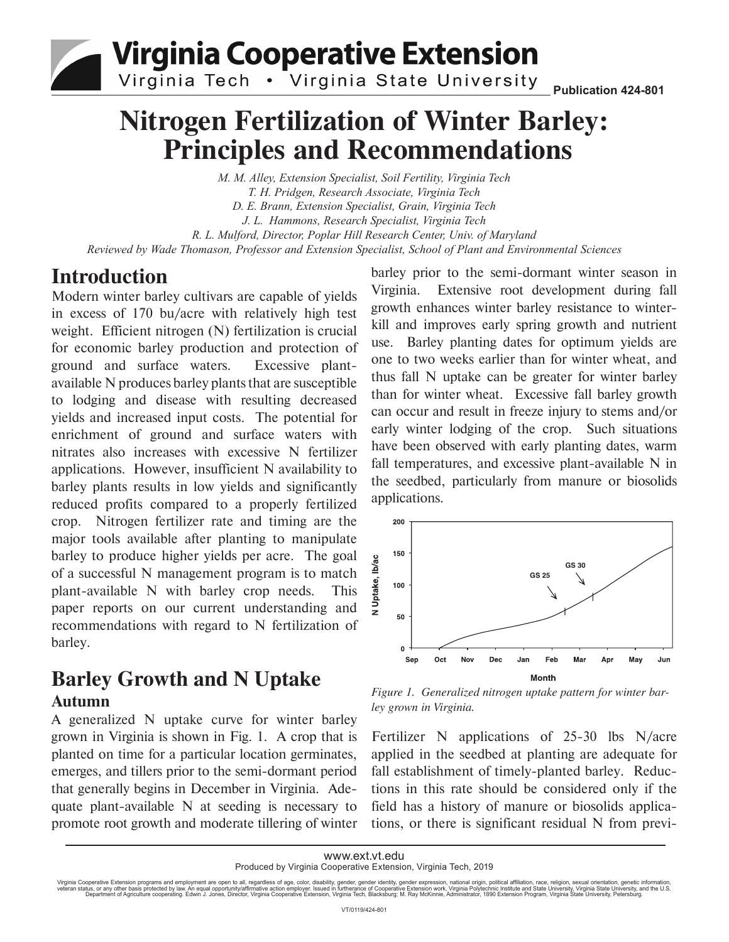**Virginia Cooperative Extension** 

Virginia Tech . Virginia State University

**Publication 424-801**

# **Nitrogen Fertilization of Winter Barley: Principles and Recommendations**

*M. M. Alley, Extension Specialist, Soil Fertility, Virginia Tech T. H. Pridgen, Research Associate, Virginia Tech D. E. Brann, Extension Specialist, Grain, Virginia Tech J. L. Hammons, Research Specialist, Virginia Tech R. L. Mulford, Director, Poplar Hill Research Center, Univ. of Maryland Reviewed by Wade Thomason, Professor and Extension Specialist, School of Plant and Environmental Sciences*

### **Introduction**

Modern winter barley cultivars are capable of yields in excess of 170 bu/acre with relatively high test weight. Efficient nitrogen (N) fertilization is crucial for economic barley production and protection of ground and surface waters. Excessive plantavailable N produces barley plants that are susceptible to lodging and disease with resulting decreased yields and increased input costs. The potential for enrichment of ground and surface waters with nitrates also increases with excessive N fertilizer applications. However, insufficient N availability to barley plants results in low yields and significantly reduced profits compared to a properly fertilized crop. Nitrogen fertilizer rate and timing are the major tools available after planting to manipulate barley to produce higher yields per acre. The goal of a successful N management program is to match plant-available N with barley crop needs. This paper reports on our current understanding and recommendations with regard to N fertilization of barley.

### **Barley Growth and N Uptake Autumn**

A generalized N uptake curve for winter barley grown in Virginia is shown in Fig. 1. A crop that is planted on time for a particular location germinates, emerges, and tillers prior to the semi-dormant period that generally begins in December in Virginia. Adequate plant-available N at seeding is necessary to promote root growth and moderate tillering of winter

barley prior to the semi-dormant winter season in Virginia. Extensive root development during fall growth enhances winter barley resistance to winterkill and improves early spring growth and nutrient use. Barley planting dates for optimum yields are one to two weeks earlier than for winter wheat, and thus fall N uptake can be greater for winter barley than for winter wheat. Excessive fall barley growth can occur and result in freeze injury to stems and/or early winter lodging of the crop. Such situations have been observed with early planting dates, warm fall temperatures, and excessive plant-available  $N$  in the seedbed, particularly from manure or biosolids applications.



*Figure 1. Generalized nitrogen uptake pattern for winter barley grown in Virginia.*

Fertilizer N applications of 25-30 lbs N/acre applied in the seedbed at planting are adequate for fall establishment of timely-planted barley. Reductions in this rate should be considered only if the field has a history of manure or biosolids applications, or there is significant residual N from previ-

Virginia Cooperative Extension programs and employment are open to all, regardless of age, color, disability, gender, gender identity, gender expression, national origin, political affiliation, race, religion, sexual orien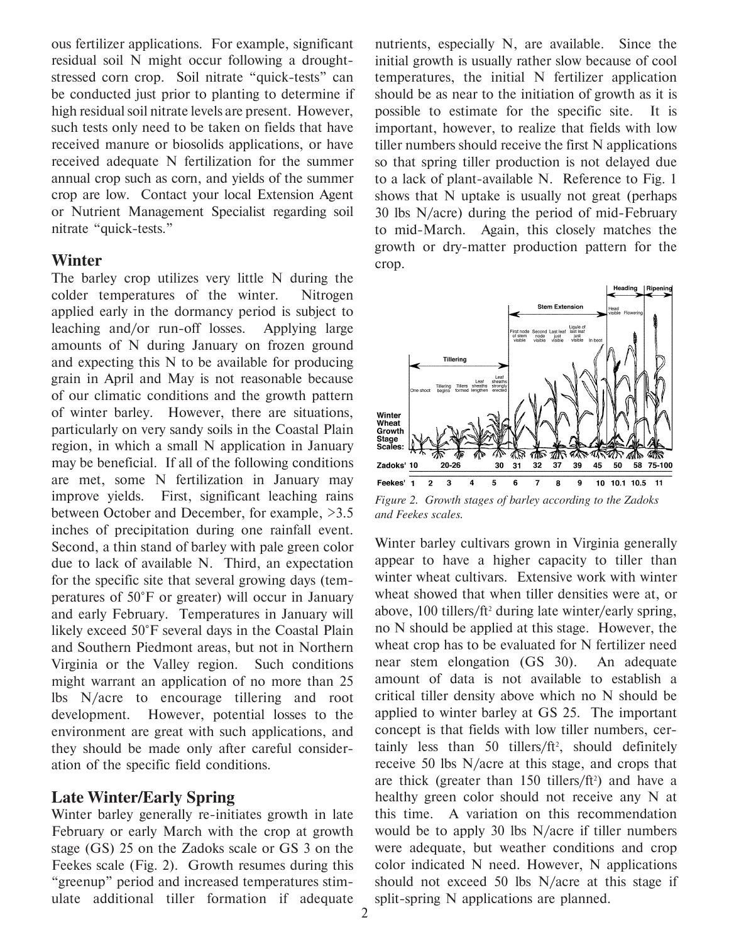ous fertilizer applications. For example, significant residual soil N might occur following a droughtstressed corn crop. Soil nitrate "quick-tests" can be conducted just prior to planting to determine if high residual soil nitrate levels are present. However, such tests only need to be taken on fields that have received manure or biosolids applications, or have received adequate N fertilization for the summer annual crop such as corn, and yields of the summer crop are low. Contact your local Extension Agent or Nutrient Management Specialist regarding soil nitrate "quick-tests."

#### **Winter**

The barley crop utilizes very little N during the colder temperatures of the winter. Nitrogen applied early in the dormancy period is subject to leaching and/or run-off losses. Applying large amounts of N during January on frozen ground and expecting this N to be available for producing grain in April and May is not reasonable because of our climatic conditions and the growth pattern of winter barley. However, there are situations, particularly on very sandy soils in the Coastal Plain region, in which a small N application in January may be beneficial. If all of the following conditions are met, some N fertilization in January may improve yields. First, significant leaching rains between October and December, for example, >3.5 inches of precipitation during one rainfall event. Second, a thin stand of barley with pale green color due to lack of available N. Third, an expectation for the specific site that several growing days (temperatures of 50°F or greater) will occur in January and early February. Temperatures in January will likely exceed 50°F several days in the Coastal Plain and Southern Piedmont areas, but not in Northern Virginia or the Valley region. Such conditions might warrant an application of no more than 25 lbs N/acre to encourage tillering and root development. However, potential losses to the environment are great with such applications, and they should be made only after careful consideration of the specific field conditions.

#### **Late Winter/Early Spring**

Winter barley generally re-initiates growth in late February or early March with the crop at growth stage (GS) 25 on the Zadoks scale or GS 3 on the Feekes scale (Fig. 2). Growth resumes during this "greenup" period and increased temperatures stimulate additional tiller formation if adequate

nutrients, especially N, are available. Since the initial growth is usually rather slow because of cool temperatures, the initial N fertilizer application should be as near to the initiation of growth as it is possible to estimate for the specific site. It is important, however, to realize that fields with low tiller numbers should receive the first N applications so that spring tiller production is not delayed due to a lack of plant-available N. Reference to Fig. 1 shows that N uptake is usually not great (perhaps 30 lbs N/acre) during the period of mid-February to mid-March. Again, this closely matches the growth or dry-matter production pattern for the crop.



*Figure 2. Growth stages of barley according to the Zadoks and Feekes scales.*

Winter barley cultivars grown in Virginia generally appear to have a higher capacity to tiller than winter wheat cultivars. Extensive work with winter wheat showed that when tiller densities were at, or above, 100 tillers/ft<sup>2</sup> during late winter/early spring, no N should be applied at this stage. However, the wheat crop has to be evaluated for N fertilizer need near stem elongation (GS 30). An adequate amount of data is not available to establish a critical tiller density above which no N should be applied to winter barley at GS 25. The important concept is that fields with low tiller numbers, certainly less than 50 tillers/ft2 , should definitely receive 50 lbs N/acre at this stage, and crops that are thick (greater than  $150$  tillers/ft<sup>2</sup>) and have a healthy green color should not receive any N at this time. A variation on this recommendation would be to apply 30 lbs N/acre if tiller numbers were adequate, but weather conditions and crop color indicated N need. However, N applications should not exceed 50 lbs N/acre at this stage if split-spring N applications are planned.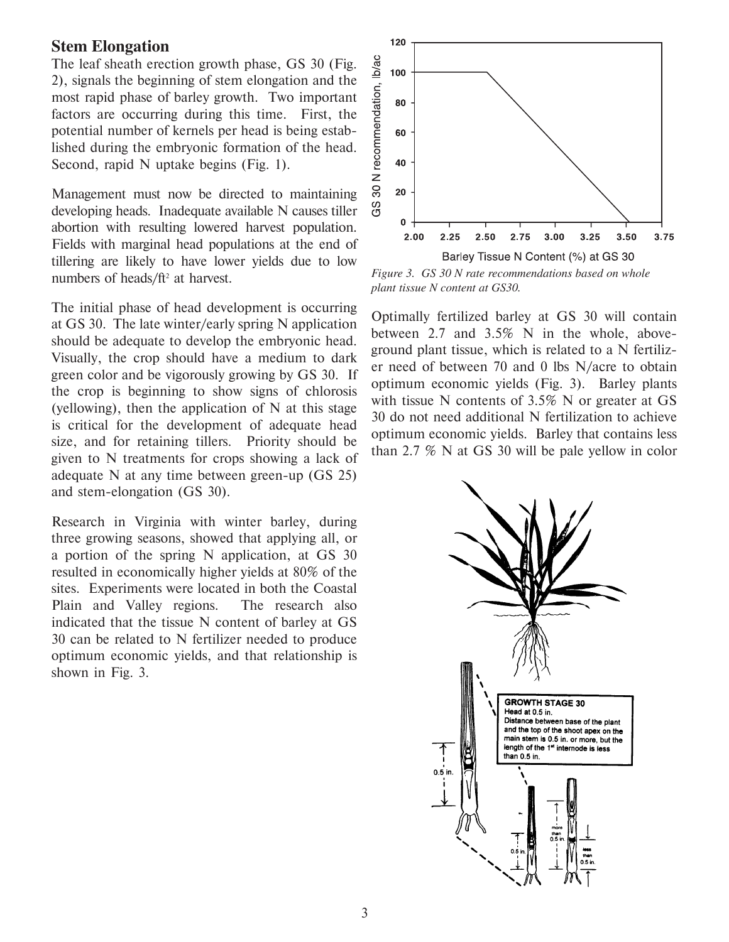#### **Stem Elongation**

The leaf sheath erection growth phase, GS 30 (Fig. 2), signals the beginning of stem elongation and the most rapid phase of barley growth. Two important factors are occurring during this time. First, the potential number of kernels per head is being established during the embryonic formation of the head. Second, rapid N uptake begins (Fig. 1).

Management must now be directed to maintaining developing heads. Inadequate available N causes tiller abortion with resulting lowered harvest population. Fields with marginal head populations at the end of tillering are likely to have lower yields due to low numbers of heads/ft<sup>2</sup> at harvest.

The initial phase of head development is occurring at GS 30. The late winter/early spring N application should be adequate to develop the embryonic head. Visually, the crop should have a medium to dark green color and be vigorously growing by GS 30. If the crop is beginning to show signs of chlorosis (vellowing), then the application of  $N$  at this stage is critical for the development of adequate head size, and for retaining tillers. Priority should be given to N treatments for crops showing a lack of adequate N at any time between green-up (GS 25) and stem-elongation (GS 30).

Research in Virginia with winter barley, during three growing seasons, showed that applying all, or a portion of the spring N application, at GS 30 resulted in economically higher yields at 80% of the sites. Experiments were located in both the Coastal Plain and Valley regions. The research also indicated that the tissue N content of barley at GS 30 can be related to N fertilizer needed to produce optimum economic yields, and that relationship is shown in Fig. 3.



*Figure 3. GS 30 N rate recommendations based on whole plant tissue N content at GS30.*

Optimally fertilized barley at GS 30 will contain between 2.7 and 3.5% N in the whole, aboveground plant tissue, which is related to a N fertilizer need of between 70 and 0 lbs N/acre to obtain optimum economic yields (Fig. 3). Barley plants with tissue N contents of  $3.5\%$  N or greater at GS 30 do not need additional N fertilization to achieve optimum economic yields. Barley that contains less than 2.7 % N at GS 30 will be pale yellow in color

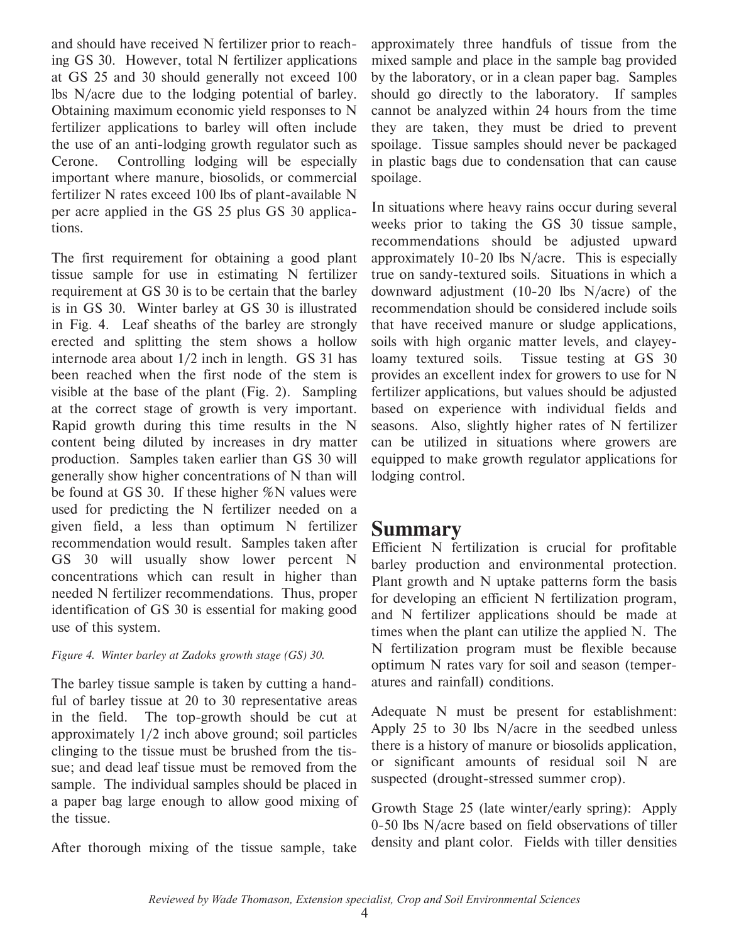and should have received N fertilizer prior to reaching GS 30. However, total N fertilizer applications at GS 25 and 30 should generally not exceed 100 lbs N/acre due to the lodging potential of barley. Obtaining maximum economic yield responses to N fertilizer applications to barley will often include the use of an anti-lodging growth regulator such as Cerone. Controlling lodging will be especially important where manure, biosolids, or commercial fertilizer N rates exceed 100 lbs of plant-available N per acre applied in the GS 25 plus GS 30 applications.

The first requirement for obtaining a good plant tissue sample for use in estimating N fertilizer requirement at GS 30 is to be certain that the barley is in GS 30. Winter barley at GS 30 is illustrated in Fig. 4. Leaf sheaths of the barley are strongly erected and splitting the stem shows a hollow internode area about 1/2 inch in length. GS 31 has been reached when the first node of the stem is visible at the base of the plant (Fig. 2). Sampling at the correct stage of growth is very important. Rapid growth during this time results in the N content being diluted by increases in dry matter production. Samples taken earlier than GS 30 will generally show higher concentrations of N than will be found at GS 30. If these higher %N values were used for predicting the N fertilizer needed on a given field, a less than optimum N fertilizer recommendation would result. Samples taken after GS 30 will usually show lower percent N concentrations which can result in higher than needed N fertilizer recommendations. Thus, proper identification of GS 30 is essential for making good use of this system.

#### *Figure 4. Winter barley at Zadoks growth stage (GS) 30.*

The barley tissue sample is taken by cutting a handful of barley tissue at 20 to 30 representative areas in the field. The top-growth should be cut at approximately 1/2 inch above ground; soil particles clinging to the tissue must be brushed from the tissue; and dead leaf tissue must be removed from the sample. The individual samples should be placed in a paper bag large enough to allow good mixing of the tissue.

After thorough mixing of the tissue sample, take

approximately three handfuls of tissue from the mixed sample and place in the sample bag provided by the laboratory, or in a clean paper bag. Samples should go directly to the laboratory. If samples cannot be analyzed within 24 hours from the time they are taken, they must be dried to prevent spoilage. Tissue samples should never be packaged in plastic bags due to condensation that can cause spoilage.

In situations where heavy rains occur during several weeks prior to taking the GS 30 tissue sample, recommendations should be adjusted upward approximately 10-20 lbs N/acre. This is especially true on sandy-textured soils. Situations in which a downward adjustment (10-20 lbs N/acre) of the recommendation should be considered include soils that have received manure or sludge applications, soils with high organic matter levels, and clayeyloamy textured soils. Tissue testing at GS 30 provides an excellent index for growers to use for N fertilizer applications, but values should be adjusted based on experience with individual fields and seasons. Also, slightly higher rates of N fertilizer can be utilized in situations where growers are equipped to make growth regulator applications for lodging control.

### **Summary**

Efficient N fertilization is crucial for profitable barley production and environmental protection. Plant growth and N uptake patterns form the basis for developing an efficient N fertilization program, and N fertilizer applications should be made at times when the plant can utilize the applied N. The N fertilization program must be flexible because optimum N rates vary for soil and season (temperatures and rainfall) conditions.

Adequate N must be present for establishment: Apply 25 to 30 lbs N/acre in the seedbed unless there is a history of manure or biosolids application, or significant amounts of residual soil N are suspected (drought-stressed summer crop).

Growth Stage 25 (late winter/early spring): Apply 0-50 lbs N/acre based on field observations of tiller density and plant color. Fields with tiller densities